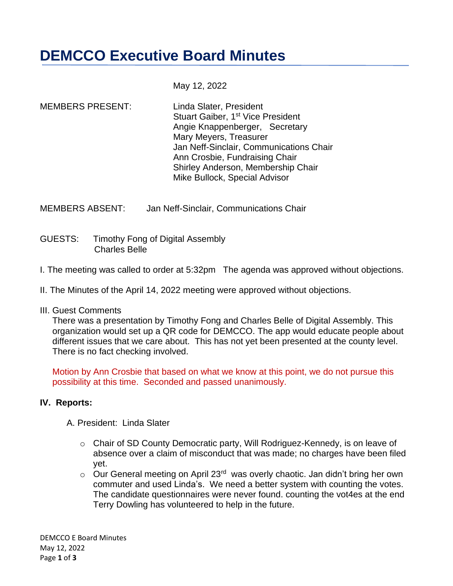**DEMCCO Executive Board Minutes**

May 12, 2022

MEMBERS PRESENT: Linda Slater, President Stuart Gaiber, 1<sup>st</sup> Vice President Angie Knappenberger, Secretary Mary Meyers, Treasurer Jan Neff-Sinclair, Communications Chair Ann Crosbie, Fundraising Chair Shirley Anderson, Membership Chair Mike Bullock, Special Advisor

MEMBERS ABSENT: Jan Neff-Sinclair, Communications Chair

GUESTS: Timothy Fong of Digital Assembly Charles Belle

- I. The meeting was called to order at 5:32pm The agenda was approved without objections.
- II. The Minutes of the April 14, 2022 meeting were approved without objections.

#### III. Guest Comments

 There was a presentation by Timothy Fong and Charles Belle of Digital Assembly. This organization would set up a QR code for DEMCCO. The app would educate people about different issues that we care about. This has not yet been presented at the county level. There is no fact checking involved.

 Motion by Ann Crosbie that based on what we know at this point, we do not pursue this possibility at this time. Seconded and passed unanimously.

## **IV. Reports:**

- A. President: Linda Slater
	- o Chair of SD County Democratic party, Will Rodriguez-Kennedy, is on leave of absence over a claim of misconduct that was made; no charges have been filed yet.
	- $\circ$  Our General meeting on April 23<sup>rd</sup> was overly chaotic. Jan didn't bring her own commuter and used Linda's. We need a better system with counting the votes. The candidate questionnaires were never found. counting the vot4es at the end Terry Dowling has volunteered to help in the future.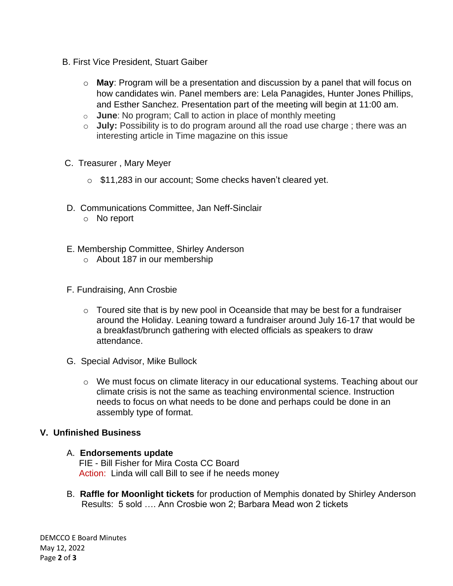- B. First Vice President, Stuart Gaiber
	- o **May**: Program will be a presentation and discussion by a panel that will focus on how candidates win. Panel members are: Lela Panagides, Hunter Jones Phillips, and Esther Sanchez. Presentation part of the meeting will begin at 11:00 am.
	- o **June**: No program; Call to action in place of monthly meeting
	- o **July:** Possibility is to do program around all the road use charge ; there was an interesting article in Time magazine on this issue
- C. Treasurer , Mary Meyer
	- o \$11,283 in our account; Some checks haven't cleared yet.
- D. Communications Committee, Jan Neff-Sinclair
	- o No report
- E. Membership Committee, Shirley Anderson
	- o About 187 in our membership
- F. Fundraising, Ann Crosbie
	- o Toured site that is by new pool in Oceanside that may be best for a fundraiser around the Holiday. Leaning toward a fundraiser around July 16-17 that would be a breakfast/brunch gathering with elected officials as speakers to draw attendance.
- G. Special Advisor, Mike Bullock
	- o We must focus on climate literacy in our educational systems. Teaching about our climate crisis is not the same as teaching environmental science. Instruction needs to focus on what needs to be done and perhaps could be done in an assembly type of format.

## **V. Unfinished Business**

#### A. **Endorsements update**

 FIE - Bill Fisher for Mira Costa CC Board Action: Linda will call Bill to see if he needs money

B. **Raffle for Moonlight tickets** for production of Memphis donated by Shirley Anderson Results: 5 sold …. Ann Crosbie won 2; Barbara Mead won 2 tickets

DEMCCO E Board Minutes May 12, 2022 Page **2** of **3**